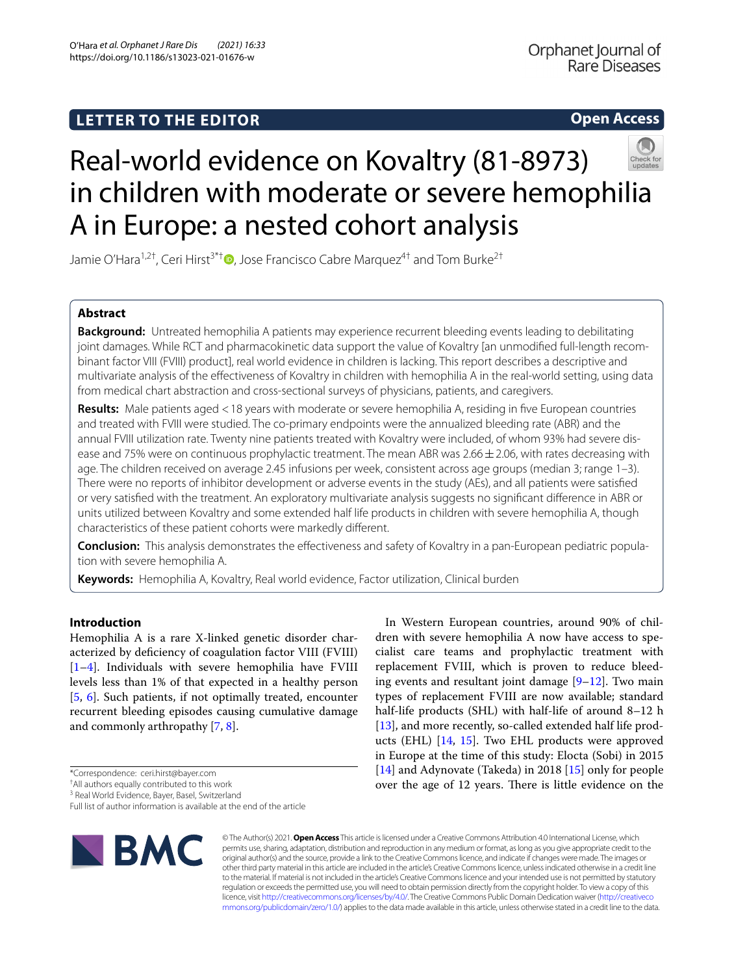# **LETTER TO THE EDITOR**

# **Open Access**



# Real-world evidence on Kovaltry (81-8973) in children with moderate or severe hemophilia A in Europe: a nested cohort analysis

Jamie O'Hara<sup>1,2†</sup>[,](http://orcid.org/0000-0001-9094-2437) Ceri Hirst<sup>3\*†</sup> **D**, Jose Francisco Cabre Marquez<sup>4†</sup> and Tom Burke<sup>2†</sup>

# **Abstract**

**Background:** Untreated hemophilia A patients may experience recurrent bleeding events leading to debilitating joint damages. While RCT and pharmacokinetic data support the value of Kovaltry [an unmodifed full-length recombinant factor VIII (FVIII) product], real world evidence in children is lacking. This report describes a descriptive and multivariate analysis of the efectiveness of Kovaltry in children with hemophilia A in the real-world setting, using data from medical chart abstraction and cross-sectional surveys of physicians, patients, and caregivers.

**Results:** Male patients aged <18 years with moderate or severe hemophilia A, residing in fve European countries and treated with FVIII were studied. The co-primary endpoints were the annualized bleeding rate (ABR) and the annual FVIII utilization rate. Twenty nine patients treated with Kovaltry were included, of whom 93% had severe disease and 75% were on continuous prophylactic treatment. The mean ABR was  $2.66 \pm 2.06$ , with rates decreasing with age. The children received on average 2.45 infusions per week, consistent across age groups (median 3; range 1–3). There were no reports of inhibitor development or adverse events in the study (AEs), and all patients were satisfed or very satisfed with the treatment. An exploratory multivariate analysis suggests no signifcant diference in ABR or units utilized between Kovaltry and some extended half life products in children with severe hemophilia A, though characteristics of these patient cohorts were markedly diferent.

**Conclusion:** This analysis demonstrates the efectiveness and safety of Kovaltry in a pan-European pediatric population with severe hemophilia A.

**Keywords:** Hemophilia A, Kovaltry, Real world evidence, Factor utilization, Clinical burden

# **Introduction**

Hemophilia A is a rare X-linked genetic disorder characterized by defciency of coagulation factor VIII (FVIII) [[1–](#page-3-0)[4\]](#page-3-1). Individuals with severe hemophilia have FVIII levels less than 1% of that expected in a healthy person [[5,](#page-3-2) [6](#page-3-3)]. Such patients, if not optimally treated, encounter recurrent bleeding episodes causing cumulative damage and commonly arthropathy [[7,](#page-3-4) [8](#page-3-5)].

Full list of author information is available at the end of the article



In Western European countries, around 90% of children with severe hemophilia A now have access to specialist care teams and prophylactic treatment with replacement FVIII, which is proven to reduce bleeding events and resultant joint damage  $[9-12]$  $[9-12]$  $[9-12]$ . Two main types of replacement FVIII are now available; standard half-life products (SHL) with half-life of around 8–12 h [[13\]](#page-3-8), and more recently, so-called extended half life products (EHL) [[14](#page-3-9), [15](#page-3-10)]. Two EHL products were approved in Europe at the time of this study: Elocta (Sobi) in 2015 [[14\]](#page-3-9) and Adynovate (Takeda) in 2018 [\[15](#page-3-10)] only for people over the age of 12 years. There is little evidence on the

© The Author(s) 2021. **Open Access** This article is licensed under a Creative Commons Attribution 4.0 International License, which permits use, sharing, adaptation, distribution and reproduction in any medium or format, as long as you give appropriate credit to the original author(s) and the source, provide a link to the Creative Commons licence, and indicate if changes were made. The images or other third party material in this article are included in the article's Creative Commons licence, unless indicated otherwise in a credit line to the material. If material is not included in the article's Creative Commons licence and your intended use is not permitted by statutory regulation or exceeds the permitted use, you will need to obtain permission directly from the copyright holder. To view a copy of this licence, visit [http://creativecommons.org/licenses/by/4.0/.](http://creativecommons.org/licenses/by/4.0/) The Creative Commons Public Domain Dedication waiver ([http://creativeco](http://creativecommons.org/publicdomain/zero/1.0/) [mmons.org/publicdomain/zero/1.0/](http://creativecommons.org/publicdomain/zero/1.0/)) applies to the data made available in this article, unless otherwise stated in a credit line to the data.

<sup>\*</sup>Correspondence: ceri.hirst@bayer.com

<sup>†</sup> All authors equally contributed to this work

<sup>&</sup>lt;sup>3</sup> Real World Evidence, Bayer, Basel, Switzerland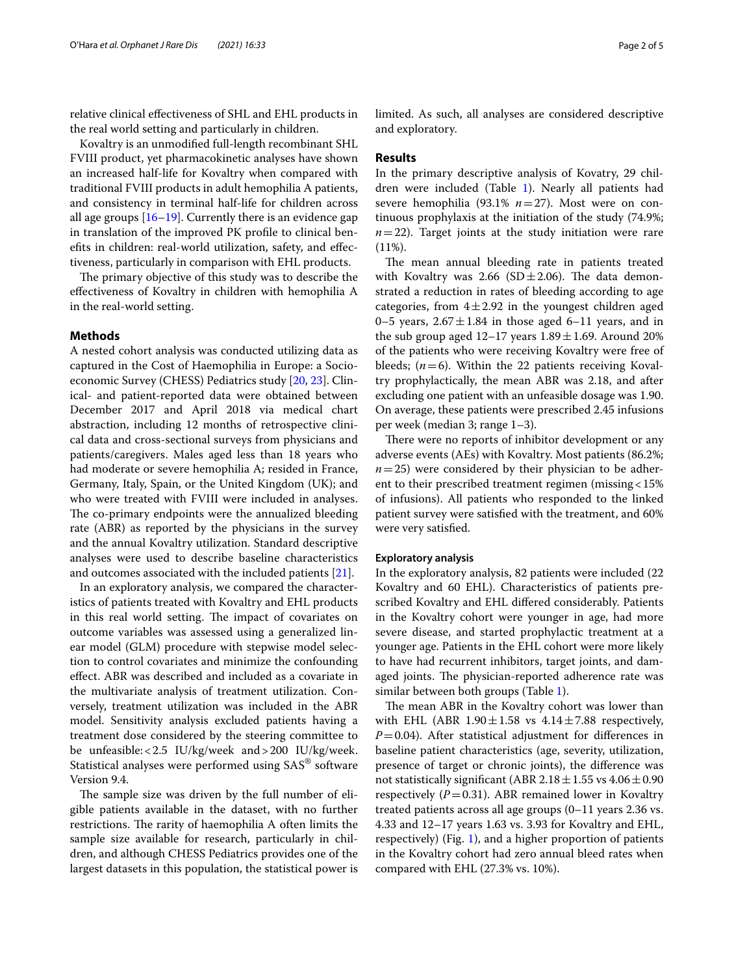relative clinical efectiveness of SHL and EHL products in the real world setting and particularly in children.

Kovaltry is an unmodifed full-length recombinant SHL FVIII product, yet pharmacokinetic analyses have shown an increased half-life for Kovaltry when compared with traditional FVIII products in adult hemophilia A patients, and consistency in terminal half-life for children across all age groups [\[16–](#page-3-11)[19\]](#page-4-0). Currently there is an evidence gap in translation of the improved PK profle to clinical benefts in children: real-world utilization, safety, and efectiveness, particularly in comparison with EHL products.

The primary objective of this study was to describe the efectiveness of Kovaltry in children with hemophilia A in the real-world setting.

# **Methods**

A nested cohort analysis was conducted utilizing data as captured in the Cost of Haemophilia in Europe: a Socioeconomic Survey (CHESS) Pediatrics study [[20,](#page-4-1) [23\]](#page-4-2). Clinical- and patient-reported data were obtained between December 2017 and April 2018 via medical chart abstraction, including 12 months of retrospective clinical data and cross-sectional surveys from physicians and patients/caregivers. Males aged less than 18 years who had moderate or severe hemophilia A; resided in France, Germany, Italy, Spain, or the United Kingdom (UK); and who were treated with FVIII were included in analyses. The co-primary endpoints were the annualized bleeding rate (ABR) as reported by the physicians in the survey and the annual Kovaltry utilization. Standard descriptive analyses were used to describe baseline characteristics and outcomes associated with the included patients [\[21](#page-4-3)].

In an exploratory analysis, we compared the characteristics of patients treated with Kovaltry and EHL products in this real world setting. The impact of covariates on outcome variables was assessed using a generalized linear model (GLM) procedure with stepwise model selection to control covariates and minimize the confounding efect. ABR was described and included as a covariate in the multivariate analysis of treatment utilization. Conversely, treatment utilization was included in the ABR model. Sensitivity analysis excluded patients having a treatment dose considered by the steering committee to be unfeasible:<2.5 IU/kg/week and>200 IU/kg/week. Statistical analyses were performed using SAS® software Version 9.4.

The sample size was driven by the full number of eligible patients available in the dataset, with no further restrictions. The rarity of haemophilia A often limits the sample size available for research, particularly in children, and although CHESS Pediatrics provides one of the largest datasets in this population, the statistical power is limited. As such, all analyses are considered descriptive and exploratory.

## **Results**

In the primary descriptive analysis of Kovatry, 29 children were included (Table [1\)](#page-2-0). Nearly all patients had severe hemophilia (93.1% *n*=27). Most were on continuous prophylaxis at the initiation of the study (74.9%;  $n=22$ ). Target joints at the study initiation were rare  $(11\%).$ 

The mean annual bleeding rate in patients treated with Kovaltry was 2.66 (SD $\pm$ 2.06). The data demonstrated a reduction in rates of bleeding according to age categories, from  $4\pm 2.92$  in the youngest children aged 0–5 years,  $2.67 \pm 1.84$  in those aged 6–11 years, and in the sub group aged  $12-17$  years  $1.89 \pm 1.69$ . Around 20% of the patients who were receiving Kovaltry were free of bleeds;  $(n=6)$ . Within the 22 patients receiving Kovaltry prophylactically, the mean ABR was 2.18, and after excluding one patient with an unfeasible dosage was 1.90. On average, these patients were prescribed 2.45 infusions per week (median 3; range 1–3).

There were no reports of inhibitor development or any adverse events (AEs) with Kovaltry. Most patients (86.2%;  $n=25$ ) were considered by their physician to be adherent to their prescribed treatment regimen (missing<15% of infusions). All patients who responded to the linked patient survey were satisfed with the treatment, and 60% were very satisfed.

# **Exploratory analysis**

In the exploratory analysis, 82 patients were included (22 Kovaltry and 60 EHL). Characteristics of patients prescribed Kovaltry and EHL difered considerably. Patients in the Kovaltry cohort were younger in age, had more severe disease, and started prophylactic treatment at a younger age. Patients in the EHL cohort were more likely to have had recurrent inhibitors, target joints, and damaged joints. The physician-reported adherence rate was similar between both groups (Table [1](#page-2-0)).

The mean ABR in the Kovaltry cohort was lower than with EHL (ABR  $1.90 \pm 1.58$  vs  $4.14 \pm 7.88$  respectively,  $P=0.04$ ). After statistical adjustment for differences in baseline patient characteristics (age, severity, utilization, presence of target or chronic joints), the diference was not statistically significant (ABR  $2.18 \pm 1.55$  vs  $4.06 \pm 0.90$ respectively  $(P=0.31)$ . ABR remained lower in Kovaltry treated patients across all age groups (0–11 years 2.36 vs. 4.33 and 12–17 years 1.63 vs. 3.93 for Kovaltry and EHL, respectively) (Fig. [1\)](#page-2-1), and a higher proportion of patients in the Kovaltry cohort had zero annual bleed rates when compared with EHL (27.3% vs. 10%).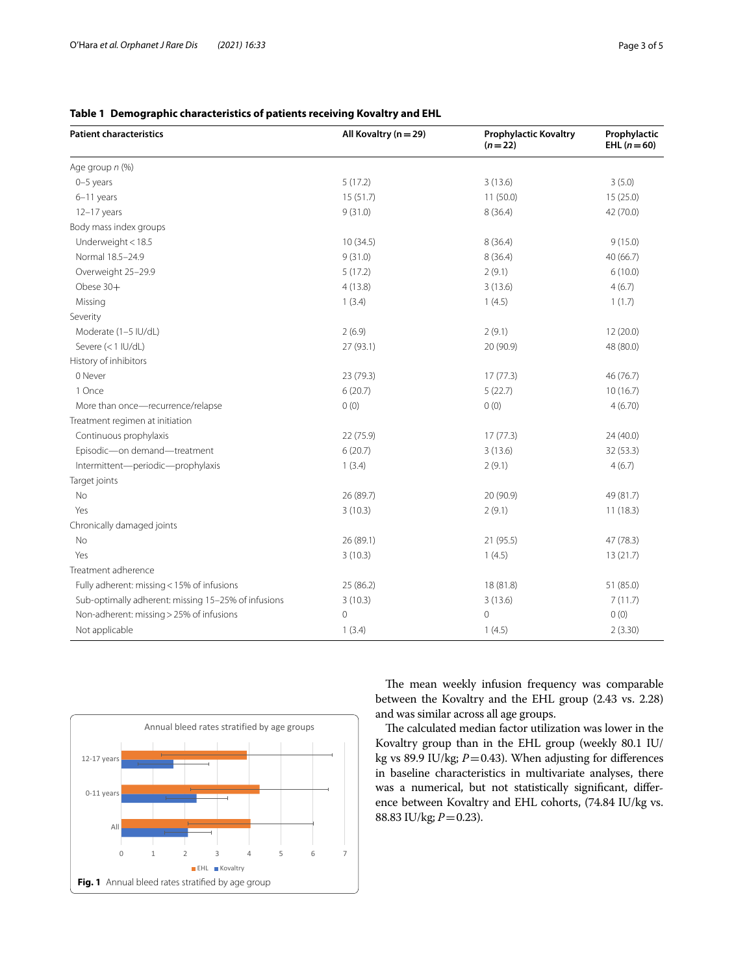| <b>Patient characteristics</b>                      | All Kovaltry (n = 29) | <b>Prophylactic Kovaltry</b><br>$(n=22)$ | Prophylactic<br>EHL $(n=60)$ |
|-----------------------------------------------------|-----------------------|------------------------------------------|------------------------------|
| Age group n (%)                                     |                       |                                          |                              |
| 0-5 years                                           | 5(17.2)               | 3(13.6)                                  | 3(5.0)                       |
| $6-11$ years                                        | 15(51.7)              | 11(50.0)                                 | 15(25.0)                     |
| $12-17$ years                                       | 9(31.0)               | 8(36.4)                                  | 42 (70.0)                    |
| Body mass index groups                              |                       |                                          |                              |
| Underweight < 18.5                                  | 10(34.5)              | 8(36.4)                                  | 9(15.0)                      |
| Normal 18.5-24.9                                    | 9(31.0)               | 8(36.4)                                  | 40 (66.7)                    |
| Overweight 25-29.9                                  | 5(17.2)               | 2(9.1)                                   | 6(10.0)                      |
| Obese 30+                                           | 4(13.8)               | 3(13.6)                                  | 4(6.7)                       |
| Missing                                             | 1(3.4)                | 1(4.5)                                   | 1(1.7)                       |
| Severity                                            |                       |                                          |                              |
| Moderate (1-5 IU/dL)                                | 2(6.9)                | 2(9.1)                                   | 12 (20.0)                    |
| Severe (<1 IU/dL)                                   | 27 (93.1)             | 20 (90.9)                                | 48 (80.0)                    |
| History of inhibitors                               |                       |                                          |                              |
| 0 Never                                             | 23 (79.3)             | 17(77.3)                                 | 46(76.7)                     |
| 1 Once                                              | 6(20.7)               | 5(22.7)                                  | 10(16.7)                     |
| More than once-recurrence/relapse                   | 0(0)                  | 0(0)                                     | 4(6.70)                      |
| Treatment regimen at initiation                     |                       |                                          |                              |
| Continuous prophylaxis                              | 22 (75.9)             | 17(77.3)                                 | 24(40.0)                     |
| Episodic-on demand-treatment                        | 6(20.7)               | 3(13.6)                                  | 32 (53.3)                    |
| Intermittent-periodic-prophylaxis                   | 1(3.4)                | 2(9.1)                                   | 4(6.7)                       |
| Target joints                                       |                       |                                          |                              |
| <b>No</b>                                           | 26 (89.7)             | 20 (90.9)                                | 49 (81.7)                    |
| Yes                                                 | 3(10.3)               | 2(9.1)                                   | 11(18.3)                     |
| Chronically damaged joints                          |                       |                                          |                              |
| No                                                  | 26 (89.1)             | 21 (95.5)                                | 47(78.3)                     |
| Yes                                                 | 3(10.3)               | 1(4.5)                                   | 13(21.7)                     |
| Treatment adherence                                 |                       |                                          |                              |
| Fully adherent: missing < 15% of infusions          | 25 (86.2)             | 18 (81.8)                                | 51 (85.0)                    |
| Sub-optimally adherent: missing 15-25% of infusions | 3(10.3)               | 3(13.6)                                  | 7(11.7)                      |
| Non-adherent: missing > 25% of infusions            | $\circ$               | 0                                        | 0(0)                         |
| Not applicable                                      | 1(3.4)                | 1(4.5)                                   | 2(3.30)                      |

# <span id="page-2-0"></span>**Table 1 Demographic characteristics of patients receiving Kovaltry and EHL**

<span id="page-2-1"></span>

The mean weekly infusion frequency was comparable between the Kovaltry and the EHL group (2.43 vs. 2.28) and was similar across all age groups.

The calculated median factor utilization was lower in the Kovaltry group than in the EHL group (weekly 80.1 IU/ kg vs 89.9 IU/kg; *P*=0.43). When adjusting for diferences in baseline characteristics in multivariate analyses, there was a numerical, but not statistically signifcant, diference between Kovaltry and EHL cohorts, (74.84 IU/kg vs. 88.83 IU/kg; *P*=0.23).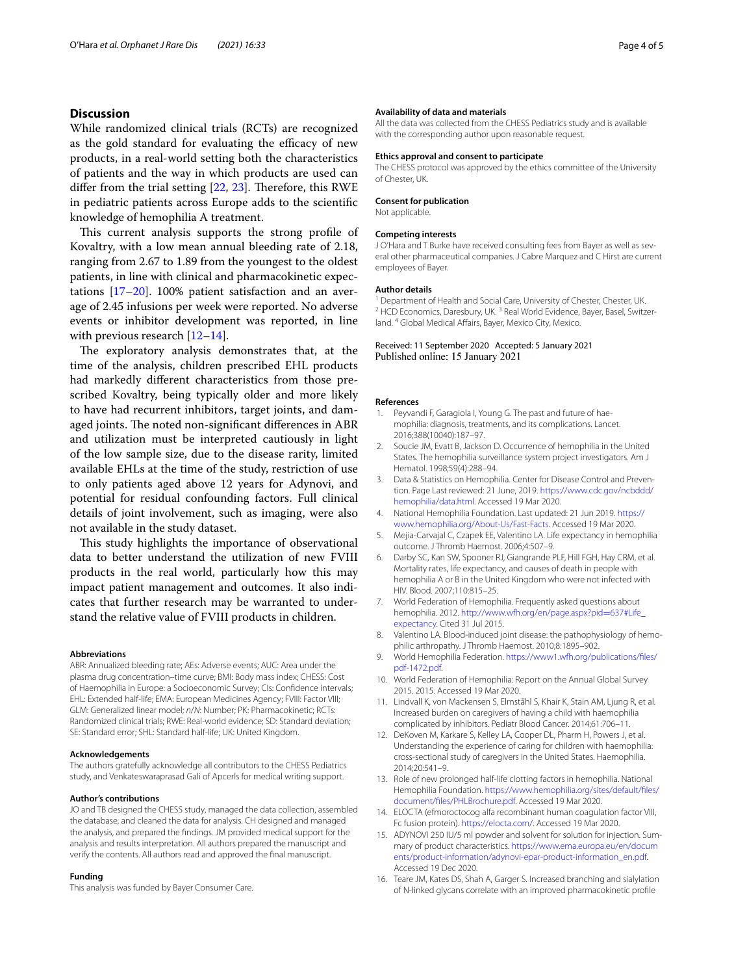# **Discussion**

While randomized clinical trials (RCTs) are recognized as the gold standard for evaluating the efficacy of new products, in a real-world setting both the characteristics of patients and the way in which products are used can differ from the trial setting  $[22, 23]$  $[22, 23]$  $[22, 23]$  $[22, 23]$ . Therefore, this RWE in pediatric patients across Europe adds to the scientifc knowledge of hemophilia A treatment.

This current analysis supports the strong profile of Kovaltry, with a low mean annual bleeding rate of 2.18, ranging from 2.67 to 1.89 from the youngest to the oldest patients, in line with clinical and pharmacokinetic expectations  $[17–20]$  $[17–20]$ . 100% patient satisfaction and an average of 2.45 infusions per week were reported. No adverse events or inhibitor development was reported, in line with previous research [[12–](#page-3-7)[14](#page-3-9)].

The exploratory analysis demonstrates that, at the time of the analysis, children prescribed EHL products had markedly diferent characteristics from those prescribed Kovaltry, being typically older and more likely to have had recurrent inhibitors, target joints, and damaged joints. The noted non-significant differences in ABR and utilization must be interpreted cautiously in light of the low sample size, due to the disease rarity, limited available EHLs at the time of the study, restriction of use to only patients aged above 12 years for Adynovi, and potential for residual confounding factors. Full clinical details of joint involvement, such as imaging, were also not available in the study dataset.

This study highlights the importance of observational data to better understand the utilization of new FVIII products in the real world, particularly how this may impact patient management and outcomes. It also indicates that further research may be warranted to understand the relative value of FVIII products in children.

#### **Abbreviations**

ABR: Annualized bleeding rate; AEs: Adverse events; AUC: Area under the plasma drug concentration–time curve; BMI: Body mass index; CHESS: Cost of Haemophilia in Europe: a Socioeconomic Survey; CIs: Confdence intervals; EHL: Extended half-life; EMA: European Medicines Agency; FVIII: Factor VIII; GLM: Generalized linear model; *n*/*N*: Number; PK: Pharmacokinetic; RCTs: Randomized clinical trials; RWE: Real-world evidence; SD: Standard deviation; SE: Standard error; SHL: Standard half-life; UK: United Kingdom.

#### **Acknowledgements**

The authors gratefully acknowledge all contributors to the CHESS Pediatrics study, and Venkateswaraprasad Gali of Apcerls for medical writing support.

#### **Author's contributions**

JO and TB designed the CHESS study, managed the data collection, assembled the database, and cleaned the data for analysis. CH designed and managed the analysis, and prepared the fndings. JM provided medical support for the analysis and results interpretation. All authors prepared the manuscript and verify the contents. All authors read and approved the fnal manuscript.

#### **Funding**

This analysis was funded by Bayer Consumer Care.

#### **Availability of data and materials**

All the data was collected from the CHESS Pediatrics study and is available with the corresponding author upon reasonable request.

#### **Ethics approval and consent to participate**

The CHESS protocol was approved by the ethics committee of the University of Chester, UK.

### **Consent for publication**

Not applicable.

# **Competing interests**

J O'Hara and T Burke have received consulting fees from Bayer as well as several other pharmaceutical companies. J Cabre Marquez and C Hirst are current employees of Bayer.

## **Author details**

<sup>1</sup> Department of Health and Social Care, University of Chester, Chester, UK.<br><sup>2</sup> HCD Economics, Daresbury, UK. <sup>3</sup> Real World Evidence, Bayer, Basel, Switzerland. <sup>4</sup> Global Medical Afairs, Bayer, Mexico City, Mexico.

# Received: 11 September 2020 Accepted: 5 January 2021 Published online: 15 January 2021

#### **References**

- <span id="page-3-0"></span>Peyvandi F, Garagiola I, Young G. The past and future of haemophilia: diagnosis, treatments, and its complications. Lancet. 2016;388(10040):187–97.
- 2. Soucie JM, Evatt B, Jackson D. Occurrence of hemophilia in the United States. The hemophilia surveillance system project investigators. Am J Hematol. 1998;59(4):288–94.
- 3. Data & Statistics on Hemophilia. Center for Disease Control and Prevention. Page Last reviewed: 21 June, 2019. [https://www.cdc.gov/ncbddd/](https://www.cdc.gov/ncbddd/hemophilia/data.html) [hemophilia/data.html.](https://www.cdc.gov/ncbddd/hemophilia/data.html) Accessed 19 Mar 2020.
- <span id="page-3-1"></span>4. National Hemophilia Foundation. Last updated: 21 Jun 2019. [https://](https://www.hemophilia.org/About-Us/Fast-Facts) [www.hemophilia.org/About-Us/Fast-Facts](https://www.hemophilia.org/About-Us/Fast-Facts). Accessed 19 Mar 2020.
- <span id="page-3-2"></span>5. Mejia-Carvajal C, Czapek EE, Valentino LA. Life expectancy in hemophilia outcome. J Thromb Haemost. 2006;4:507–9.
- <span id="page-3-3"></span>6. Darby SC, Kan SW, Spooner RJ, Giangrande PLF, Hill FGH, Hay CRM, et al. Mortality rates, life expectancy, and causes of death in people with hemophilia A or B in the United Kingdom who were not infected with HIV. Blood. 2007;110:815–25.
- <span id="page-3-4"></span>7. World Federation of Hemophilia. Frequently asked questions about hemophilia. 2012. [http://www.wfh.org/en/page.aspx?pid](http://www.wfh.org/en/page.aspx?pid=637#Life_expectancy)=637#Life\_ [expectancy](http://www.wfh.org/en/page.aspx?pid=637#Life_expectancy). Cited 31 Jul 2015.
- <span id="page-3-5"></span>8. Valentino LA. Blood-induced joint disease: the pathophysiology of hemophilic arthropathy. J Thromb Haemost. 2010;8:1895–902.
- <span id="page-3-6"></span>9. World Hemophilia Federation. [https://www1.wfh.org/publications/fles/](https://www1.wfh.org/publications/files/pdf-1472.pdf) [pdf-1472.pdf](https://www1.wfh.org/publications/files/pdf-1472.pdf).
- 10. World Federation of Hemophilia: Report on the Annual Global Survey 2015. 2015. Accessed 19 Mar 2020.
- 11. Lindvall K, von Mackensen S, Elmståhl S, Khair K, Stain AM, Ljung R, et al. Increased burden on caregivers of having a child with haemophilia complicated by inhibitors. Pediatr Blood Cancer. 2014;61:706–11.
- <span id="page-3-7"></span>12. DeKoven M, Karkare S, Kelley LA, Cooper DL, Pharm H, Powers J, et al. Understanding the experience of caring for children with haemophilia: cross-sectional study of caregivers in the United States. Haemophilia. 2014;20:541–9.
- <span id="page-3-8"></span>13. Role of new prolonged half-life clotting factors in hemophilia. National Hemophilia Foundation. [https://www.hemophilia.org/sites/default/fles/](https://www.hemophilia.org/sites/default/files/document/files/PHLBrochure.pdf) [document/fles/PHLBrochure.pdf](https://www.hemophilia.org/sites/default/files/document/files/PHLBrochure.pdf). Accessed 19 Mar 2020.
- <span id="page-3-9"></span>14. ELOCTA (efmoroctocog alfa recombinant human coagulation factor VIII, Fc fusion protein). [https://elocta.com/.](https://elocta.com/) Accessed 19 Mar 2020.
- <span id="page-3-10"></span>15. ADYNOVI 250 IU/5 ml powder and solvent for solution for injection. Summary of product characteristics. [https://www.ema.europa.eu/en/docum](https://www.ema.europa.eu/en/documents/product-information/adynovi-epar-product-information_en.pdf) [ents/product-information/adynovi-epar-product-information\\_en.pdf.](https://www.ema.europa.eu/en/documents/product-information/adynovi-epar-product-information_en.pdf) Accessed 19 Dec 2020.
- <span id="page-3-11"></span>16. Teare JM, Kates DS, Shah A, Garger S. Increased branching and sialylation of N-linked glycans correlate with an improved pharmacokinetic profle